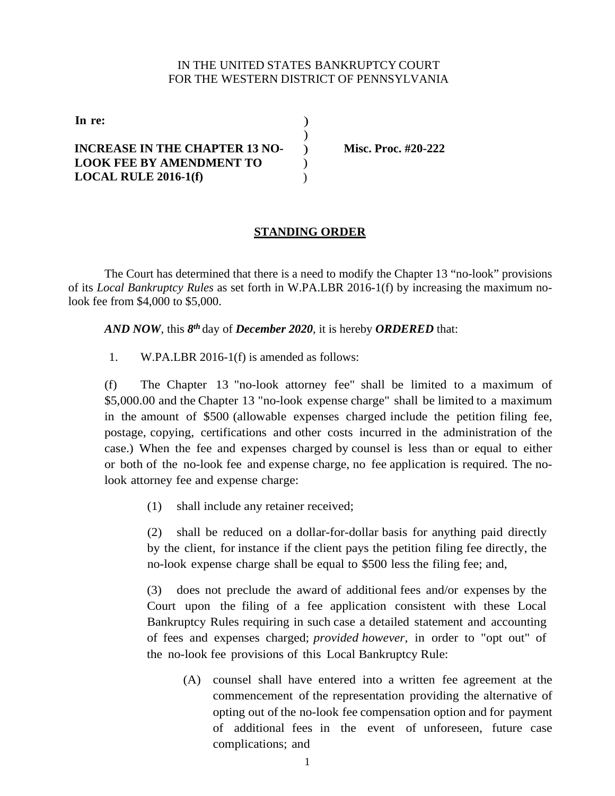## IN THE UNITED STATES BANKRUPTCY COURT FOR THE WESTERN DISTRICT OF PENNSYLVANIA

**In re:** )  $\lambda$ **INCREASE IN THE CHAPTER 13 NO-LOOK FEE BY AMENDMENT TO LOCAL RULE 2016-1(f)** ) )

) **Misc. Proc. #20-222**

## **STANDING ORDER**

The Court has determined that there is a need to modify the Chapter 13 "no-look" provisions of its *Local Bankruptcy Rules* as set forth in W.PA.LBR 2016-1(f) by increasing the maximum nolook fee from \$4,000 to \$5,000.

*AND NOW*, this *8th* day of *December 2020*, it is hereby *ORDERED* that:

1. W.PA.LBR 2016-1(f) is amended as follows:

(f) The Chapter 13 "no-look attorney fee" shall be limited to a maximum of \$5,000.00 and the Chapter 13 "no-look expense charge" shall be limited to a maximum in the amount of \$500 (allowable expenses charged include the petition filing fee, postage, copying, certifications and other costs incurred in the administration of the case.) When the fee and expenses charged by counsel is less than or equal to either or both of the no-look fee and expense charge, no fee application is required. The nolook attorney fee and expense charge:

(1) shall include any retainer received;

(2) shall be reduced on a dollar-for-dollar basis for anything paid directly by the client, for instance if the client pays the petition filing fee directly, the no-look expense charge shall be equal to \$500 less the filing fee; and,

(3) does not preclude the award of additional fees and/or expenses by the Court upon the filing of a fee application consistent with these Local Bankruptcy Rules requiring in such case a detailed statement and accounting of fees and expenses charged; *provided however,* in order to "opt out" of the no-look fee provisions of this Local Bankruptcy Rule:

(A) counsel shall have entered into a written fee agreement at the commencement of the representation providing the alternative of opting out of the no-look fee compensation option and for payment of additional fees in the event of unforeseen, future case complications; and